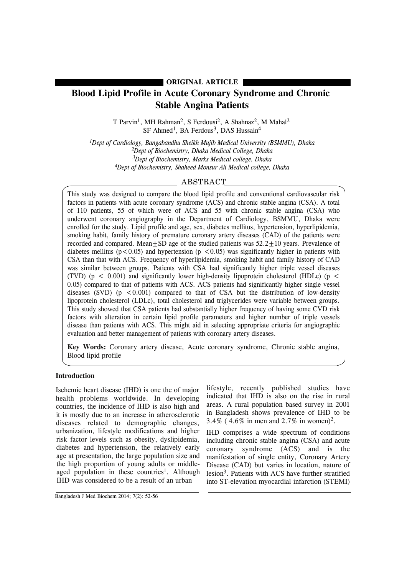# **ORIGINAL ARTICLE**

# **Blood Lipid Profile in Acute Coronary Syndrome and Chronic Stable Angina Patients**

T Parvin<sup>1</sup>, MH Rahman<sup>2</sup>, S Ferdousi<sup>2</sup>, A Shahnaz<sup>2</sup>, M Mahal<sup>2</sup> SF Ahmed<sup>1</sup>, BA Ferdous<sup>3</sup>, DAS Hussain<sup>4</sup>

*1Dept of Cardiology, Bangabandhu Sheikh Mujib Medical University (BSMMU), Dhaka 2Dept of Biochemistry, Dhaka Medical College, Dhaka 3Dept of Biochemistry, Marks Medical college, Dhaka 4Dept of Biochemistry, Shaheed Monsur Ali Medical college, Dhaka*

# ABSTRACT

This study was designed to compare the blood lipid profile and conventional cardiovascular risk factors in patients with acute coronary syndrome (ACS) and chronic stable angina (CSA). A total of 110 patients, 55 of which were of ACS and 55 with chronic stable angina (CSA) who underwent coronary angiography in the Department of Cardiology, BSMMU, Dhaka were enrolled for the study. Lipid profile and age, sex, diabetes mellitus, hypertension, hyperlipidemia, smoking habit, family history of premature coronary artery diseases (CAD) of the patients were recorded and compared. Mean $+SD$  age of the studied patients was  $52.2+10$  years. Prevalence of diabetes mellitus ( $p < 0.05$ ) and hypertension ( $p < 0.05$ ) was significantly higher in patients with CSA than that with ACS. Frequency of hyperlipidemia, smoking habit and family history of CAD was similar between groups. Patients with CSA had significantly higher triple vessel diseases (TVD) ( $p \le 0.001$ ) and significantly lower high-density lipoprotein cholesterol (HDLc) ( $p \le$ 0.05) compared to that of patients with ACS. ACS patients had significantly higher single vessel diseases (SVD) ( $p < 0.001$ ) compared to that of CSA but the distribution of low-density lipoprotein cholesterol (LDLc), total cholesterol and triglycerides were variable between groups. This study showed that CSA patients had substantially higher frequency of having some CVD risk factors with alteration in certain lipid profile parameters and higher number of triple vessels disease than patients with ACS. This might aid in selecting appropriate criteria for angiographic evaluation and better management of patients with coronary artery diseases.

**Key Words:** Coronary artery disease, Acute coronary syndrome, Chronic stable angina, Blood lipid profile

# **Introduction**

Ischemic heart disease (IHD) is one the of major health problems worldwide. In developing countries, the incidence of IHD is also high and it is mostly due to an increase in atherosclerotic diseases related to demographic changes, urbanization, lifestyle modifications and higher risk factor levels such as obesity, dyslipidemia, diabetes and hypertension, the relatively early age at presentation, the large population size and the high proportion of young adults or middleaged population in these countries<sup>1</sup>. Although IHD was considered to be a result of an urban

lifestyle, recently published studies have indicated that IHD is also on the rise in rural areas. A rural population based survey in 2001 in Bangladesh shows prevalence of IHD to be 3.4% ( 4.6% in men and 2.7% in women)2.

IHD comprises a wide spectrum of conditions including chronic stable angina (CSA) and acute coronary syndrome (ACS) and is the manifestation of single entity, Coronary Artery Disease (CAD) but varies in location, nature of lesion3. Patients with ACS have further stratified into ST-elevation myocardial infarction (STEMI)

Bangladesh J Med Biochem 2014; 7(2): 52-56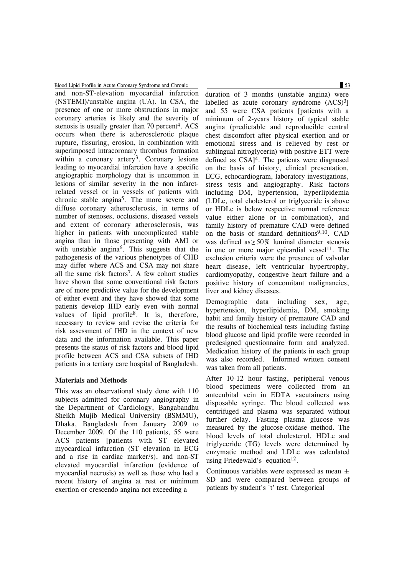Blood Lipid Profile in Acute Coronary Syndrome and Chronic 53

and non-ST-elevation myocardial infarction (NSTEMI)/unstable angina (UA). In CSA, the presence of one or more obstructions in major coronary arteries is likely and the severity of stenosis is usually greater than 70 percent<sup>4</sup>. ACS occurs when there is atherosclerotic plaque rupture, fissuring, erosion, in combination with superimposed intracoronary thrombus formation within a coronary artery<sup>3</sup>. Coronary lesions leading to myocardial infarction have a specific angiographic morphology that is uncommon in lesions of similar severity in the non infarctrelated vessel or in vessels of patients with chronic stable angina5. The more severe and diffuse coronary atherosclerosis, in terms of number of stenoses, occlusions, diseased vessels and extent of coronary atherosclerosis, was higher in patients with uncomplicated stable angina than in those presenting with AMI or with unstable angina<sup>6</sup>. This suggests that the pathogenesis of the various phenotypes of CHD may differ where ACS and CSA may not share all the same risk factors7. A few cohort studies have shown that some conventional risk factors are of more predictive value for the development of either event and they have showed that some patients develop IHD early even with normal values of lipid profile<sup>8</sup>. It is, therefore, necessary to review and revise the criteria for risk assessment of IHD in the context of new data and the information available. This paper presents the status of risk factors and blood lipid profile between ACS and CSA subsets of IHD patients in a tertiary care hospital of Bangladesh.

# **Materials and Methods**

This was an observational study done with 110 subjects admitted for coronary angiography in the Department of Cardiology, Bangabandhu Sheikh Mujib Medical University (BSMMU), Dhaka, Bangladesh from January 2009 to December 2009. Of the 110 patients, 55 were ACS patients [patients with ST elevated myocardical infarction (ST elevation in ECG and a rise in cardiac marker/s), and non-ST elevated myocardial infarction (evidence of myocardial necrosis) as well as those who had a recent history of angina at rest or minimum exertion or crescendo angina not exceeding a

duration of 3 months (unstable angina) were labelled as acute coronary syndrome  $(ACS)^3$ and 55 were CSA patients [patients with a minimum of 2-years history of typical stable angina (predictable and reproducible central chest discomfort after physical exertion and or emotional stress and is relieved by rest or sublingual nitroglycerin) with positive ETT were defined as CSA]4. The patients were diagnosed on the basis of history, clinical presentation, ECG, echocardiogram, laboratory investigations, stress tests and angiography. Risk factors including DM, hypertension, hyperlipidemia (LDLc, total cholesterol or triglyceride is above or HDLc is below respective normal reference value either alone or in combination), and family history of premature CAD were defined on the basis of standard definitions<sup>9,10</sup>. CAD was defined as  $\geq 50\%$  luminal diameter stenosis in one or more major epicardial vessel<sup>11</sup>. The exclusion criteria were the presence of valvular heart disease, left ventricular hypertrophy, cardiomyopathy, congestive heart failure and a positive history of concomitant malignancies, liver and kidney diseases.

Demographic data including sex, age, hypertension, hyperlipidemia, DM, smoking habit and family history of premature CAD and the results of biochemical tests including fasting blood glucose and lipid profile were recorded in predesigned questionnaire form and analyzed. Medication history of the patients in each group was also recorded. Informed written consent was taken from all patients.

After 10-12 hour fasting, peripheral venous blood specimens were collected from an antecubital vein in EDTA vacutainers using disposable syringe. The blood collected was centrifuged and plasma was separated without further delay. Fasting plasma glucose was measured by the glucose-oxidase method. The blood levels of total cholesterol, HDLc and triglyceride (TG) levels were determined by enzymatic method and LDLc was calculated using Friedewald's equation<sup>12</sup>.

Continuous variables were expressed as mean  $\pm$ SD and were compared between groups of patients by student's 't' test. Categorical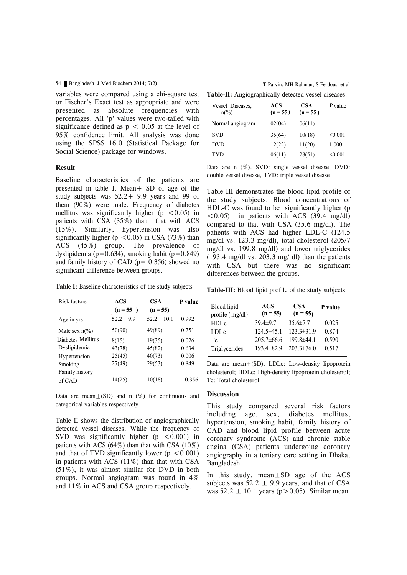variables were compared using a chi-square test or Fischer's Exact test as appropriate and were presented as absolute frequencies with percentages. All 'p' values were two-tailed with significance defined as  $p < 0.05$  at the level of 95% confidence limit. All analysis was done using the SPSS 16.0 (Statistical Package for Social Science) package for windows.

### **Result**

Baseline characteristics of the patients are presented in table I. Mean $\pm$  SD of age of the study subjects was  $52.2 \pm 9.9$  years and 99 of them (90%) were male. Frequency of diabetes mellitus was significantly higher ( $p \leq 0.05$ ) in patients with CSA (35%) than that with ACS (15%). Similarly, hypertension was also significantly higher ( $p < 0.05$ ) in CSA (73%) than ACS (45%) group. The prevalence of dyslipidemia (p= $0.634$ ), smoking habit (p= $0.849$ ) and family history of CAD ( $p = 0.356$ ) showed no significant difference between groups.

**Table I:** Baseline characteristics of the study subjects

| Risk factors            | ACS<br>$(n = 55)$ | <b>CSA</b><br>$(n = 55)$ | P value |  |
|-------------------------|-------------------|--------------------------|---------|--|
| Age in yrs              | $52.2 \pm 9.9$    | $52.2 \pm 10.1$          | 0.992   |  |
| Male sex $n\frac{6}{6}$ | 50(90)            | 49(89)                   | 0.751   |  |
| Diabetes Mellitus       | 8(15)             | 19(35)                   | 0.026   |  |
| Dyslipidemia            | 43(78)            | 45(82)                   | 0.634   |  |
| Hypertension            | 25(45)            | 40(73)                   | 0.006   |  |
| Smoking                 | 27(49)            | 29(53)                   | 0.849   |  |
| Family history          |                   |                          |         |  |
| of CAD                  | 14(25)            | 10(18)                   | 0.356   |  |

Data are mean $\pm$ (SD) and n (%) for continuous and categorical variables respectively

Table II shows the distribution of angiographically detected vessel diseases. While the frequency of SVD was significantly higher  $(p \lt 0.001)$  in patients with ACS  $(64\%)$  than that with CSA  $(10\%)$ and that of TVD significantly lower ( $p < 0.001$ ) in patients with ACS (11%) than that with CSA (51%), it was almost similar for DVD in both groups. Normal angiogram was found in 4% and 11% in ACS and CSA group respectively.

| Vessel Diseases,<br>$n\frac{0}{0}$ | ACS<br>$(n = 55)$ | <b>CSA</b><br>$(n = 55)$ | <b>P</b> value |
|------------------------------------|-------------------|--------------------------|----------------|
| Normal angiogram                   | 02(04)            | 06(11)                   |                |
| <b>SVD</b>                         | 35(64)            | 10(18)                   | < 0.001        |
| DVD                                | 12(22)            | 11(20)                   | 1.000          |
| TVD                                | 06(11)            | 28(51)                   | < 0.001        |

Data are n (%). SVD: single vessel disease, DVD: double vessel disease, TVD: triple vessel disease

Table III demonstrates the blood lipid profile of the study subjects. Blood concentrations of HDL-C was found to be significantly higher (p  $\langle 0.05 \rangle$  in patients with ACS (39.4 mg/dl) compared to that with CSA (35.6 mg/dl). The patients with ACS had higher LDL-C (124.5 mg/dl vs. 123.3 mg/dl), total cholesterol (205/7 mg/dl vs. 199.8 mg/dl) and lower triglycerides (193.4 mg/dl vs. 203.3 mg/ dl) than the patients with CSA but there was no significant differences between the groups.

**Table-III:** Blood lipid profile of the study subjects

| <b>Blood</b> lipid<br>profile (mg/dl) | ACS<br>$(n = 55)$ | <b>CSA</b><br>$(n = 55)$ | P value |
|---------------------------------------|-------------------|--------------------------|---------|
| HDLc                                  | $39.4 \pm 9.7$    | $35.6 \pm 7.7$           | 0.025   |
| LDLc                                  | $124.5 \pm 45.1$  | $123.3 \pm 31.9$         | 0.874   |
| Tc                                    | $205.7\pm 66.6$   | $1998\pm441$             | 0.590   |
| Triglycerides                         | $193.4 \pm 82.9$  | $203.3 \pm 76.0$         | 0.517   |

Data are mean $\pm$ (SD). LDLc: Low-density lipoprotein cholesterol; HDLc: High-density lipoprotein cholesterol; Tc: Total cholesterol

### **Discussion**

This study compared several risk factors including age, sex, diabetes mellitus, hypertension, smoking habit, family history of CAD and blood lipid profile between acute coronary syndrome (ACS) and chronic stable angina (CSA) patients undergoing coronary angiography in a tertiary care setting in Dhaka, Bangladesh.

In this study, mean $+SD$  age of the  $ACS$ subjects was  $52.2 + 9.9$  years, and that of CSA was  $52.2 + 10.1$  years ( $p > 0.05$ ). Similar mean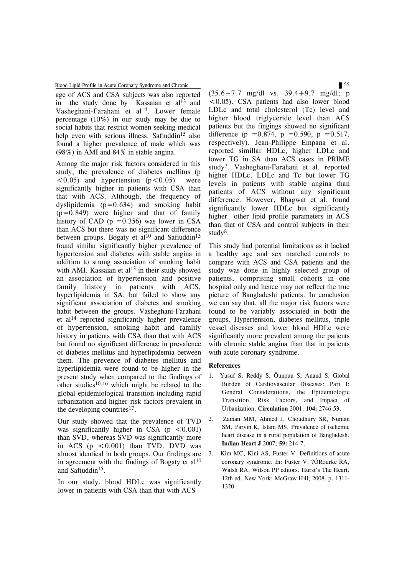Blood Lipid Profile in Acute Coronary Syndrome and Chronic 55

age of ACS and CSA subjects was also reported in the study done by Kassaian et al<sup>13</sup> and Vasheghani-Farahani et al<sup>14</sup>. Lower female percentage (10%) in our study may be due to social habits that restrict women seeking medical help even with serious illness. Safiuddin<sup>15</sup> also found a higher prevalence of male which was (98%) in AMI and 84% in stable angina.

Among the major risk factors considered in this study, the prevalence of diabetes mellitus (p  $(0.05)$  and hypertension  $(p<0.05)$  were significantly higher in patients with CSA than that with ACS. Although, the frequency of dyslipidemia  $(p=0.634)$  and smoking habit  $(p=0.849)$  were higher and that of family history of CAD ( $p = 0.356$ ) was lower in CSA than ACS but there was no significant difference between groups. Bogaty et al<sup>10</sup> and Safiuddin<sup>15</sup> found similar significantly higher prevalence of hypertension and diabetes with stable angina in addition to strong association of smoking habit with AMI. Kassaian et al<sup>13</sup> in their study showed an association of hypertension and positive family history in patients with ACS, hyperlipidemia in SA, but failed to show any significant association of diabetes and smoking habit between the groups. Vasheghani-Farahani et al <sup>14</sup> reported significantly higher prevalence of hypertension, smoking habit and famlily history in patients with CSA than that with ACS but found no significant difference in prevalence of diabetes mellitus and hyperlipidemia between them. The prevence of diabetes mellitus and hyperlipidemia were found to be higher in the present study when compared to the findings of other studies<sup>10,16</sup> which might be related to the global epidemiological transition including rapid urbanization and higher risk factors prevalent in the developing countries<sup>17</sup>.

Our study showed that the prevalence of TVD was significantly higher in CSA ( $p \leq 0.001$ ) than SVD, whereas SVD was significantly more in ACS  $(p \leq 0.001)$  than TVD. DVD was almost identical in both groups. Our findings are in agreement with the findings of Bogaty et  $al<sup>10</sup>$ and Safiuddin15.

In our study, blood HDLc was significantly lower in patients with CSA than that with ACS

 $(35.6 \pm 7.7 \text{ mg/dl} \text{ vs. } 39.4 \pm 9.7 \text{ mg/dl}; \text{ p})$  $\leq$  0.05). CSA patients had also lower blood LDLc and total cholesterol (Tc) level and higher blood triglyceride level than ACS patients but the fingings showed no significant difference (p = 0.874, p = 0.590, p = 0.517, respectively). Jean-Philippe Empana et al. reported simillar HDLc, higher LDLc and lower TG in SA than ACS cases in PRIME study7. Vasheghani-Farahani et al. reported higher HDLc, LDLc and Tc but lower TG levels in patients with stable angina than patients of ACS without any significant difference. However, Bhagwat et al. found significantly lower HDLc but significantly higher other lipid profile parameters in ACS than that of CSA and control subjects in their study<sup>8</sup>.

This study had potential limitations as it lacked a healthy age and sex matched controls to compare with ACS and CSA patients and the study was done in highly selected group of patients, comprising small cohorts in one hospital only and hence may not reflect the true picture of Bangladeshi patients. In conclusion we can say that, all the major risk factors were found to be variably associated in both the groups. Hypertension, diabetes mellitus, triple vessel diseases and lower blood HDLc were significantly more prevalent among the patients with chronic stable angina than that in patients with acute coronary syndrome.

### **References**

- 1. Yusuf S, Reddy S, Ôunpuu S, Anand S. Global Burden of Cardiovascular Diseases: Part I: General Considerations, the Epidemiologic Transition, Risk Factors, and Impact of Urbanization. **Circulation** 2001; **104:** 2746-53.
- 2. Zaman MM, Ahmed J, Choudhury SR, Numan SM, Parvin K, Islam MS. Prevalence of ischemic heart disease in a rural population of Bangladesh. **Indian Heart J** 2007; **59:** 214-7.
- 3. Kim MC, Kini AS, Fuster V. Definitions of acute coronary syndrome. In: Fuster V, ?ÓRourke RA, Walsh RA, Wilson PP editors. Hurst's The Heart. 12th ed. New York: McGraw Hill; 2008. p. 1311- 1320